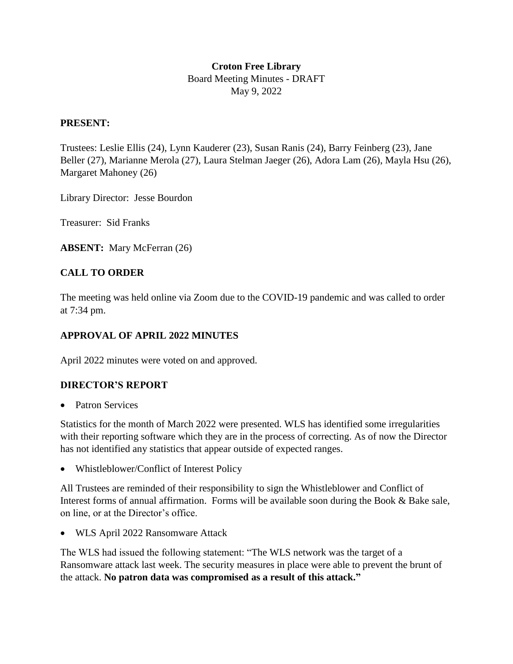## **Croton Free Library**  Board Meeting Minutes - DRAFT May 9, 2022

#### **PRESENT:**

Trustees: Leslie Ellis (24), Lynn Kauderer (23), Susan Ranis (24), Barry Feinberg (23), Jane Beller (27), Marianne Merola (27), Laura Stelman Jaeger (26), Adora Lam (26), Mayla Hsu (26), Margaret Mahoney (26)

Library Director: Jesse Bourdon

Treasurer: Sid Franks

**ABSENT:** Mary McFerran (26)

## **CALL TO ORDER**

The meeting was held online via Zoom due to the COVID-19 pandemic and was called to order at 7:34 pm.

#### **APPROVAL OF APRIL 2022 MINUTES**

April 2022 minutes were voted on and approved.

#### **DIRECTOR'S REPORT**

• Patron Services

Statistics for the month of March 2022 were presented. WLS has identified some irregularities with their reporting software which they are in the process of correcting. As of now the Director has not identified any statistics that appear outside of expected ranges.

• Whistleblower/Conflict of Interest Policy

All Trustees are reminded of their responsibility to sign the Whistleblower and Conflict of Interest forms of annual affirmation. Forms will be available soon during the Book & Bake sale, on line, or at the Director's office.

WLS April 2022 Ransomware Attack

The WLS had issued the following statement: "The WLS network was the target of a Ransomware attack last week. The security measures in place were able to prevent the brunt of the attack. **No patron data was compromised as a result of this attack."**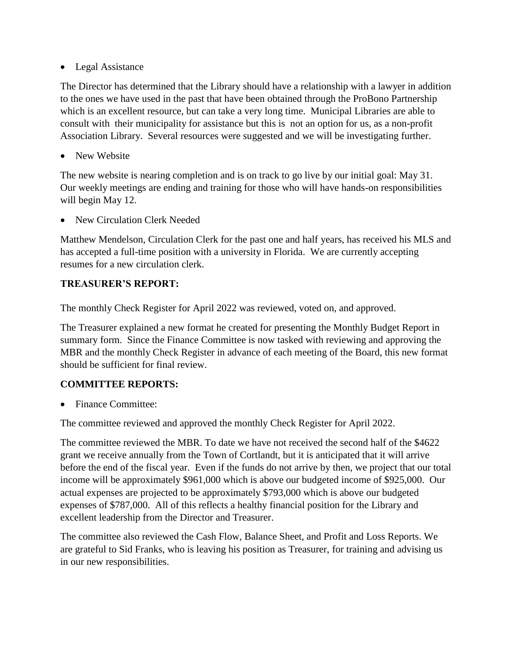• Legal Assistance

The Director has determined that the Library should have a relationship with a lawyer in addition to the ones we have used in the past that have been obtained through the ProBono Partnership which is an excellent resource, but can take a very long time. Municipal Libraries are able to consult with their municipality for assistance but this is not an option for us, as a non-profit Association Library. Several resources were suggested and we will be investigating further.

• New Website

The new website is nearing completion and is on track to go live by our initial goal: May 31. Our weekly meetings are ending and training for those who will have hands-on responsibilities will begin May 12.

New Circulation Clerk Needed

Matthew Mendelson, Circulation Clerk for the past one and half years, has received his MLS and has accepted a full-time position with a university in Florida. We are currently accepting resumes for a new circulation clerk.

## **TREASURER'S REPORT:**

The monthly Check Register for April 2022 was reviewed, voted on, and approved.

The Treasurer explained a new format he created for presenting the Monthly Budget Report in summary form. Since the Finance Committee is now tasked with reviewing and approving the MBR and the monthly Check Register in advance of each meeting of the Board, this new format should be sufficient for final review.

## **COMMITTEE REPORTS:**

Finance Committee:

The committee reviewed and approved the monthly Check Register for April 2022.

The committee reviewed the MBR. To date we have not received the second half of the \$4622 grant we receive annually from the Town of Cortlandt, but it is anticipated that it will arrive before the end of the fiscal year. Even if the funds do not arrive by then, we project that our total income will be approximately \$961,000 which is above our budgeted income of \$925,000. Our actual expenses are projected to be approximately \$793,000 which is above our budgeted expenses of \$787,000. All of this reflects a healthy financial position for the Library and excellent leadership from the Director and Treasurer.

The committee also reviewed the Cash Flow, Balance Sheet, and Profit and Loss Reports. We are grateful to Sid Franks, who is leaving his position as Treasurer, for training and advising us in our new responsibilities.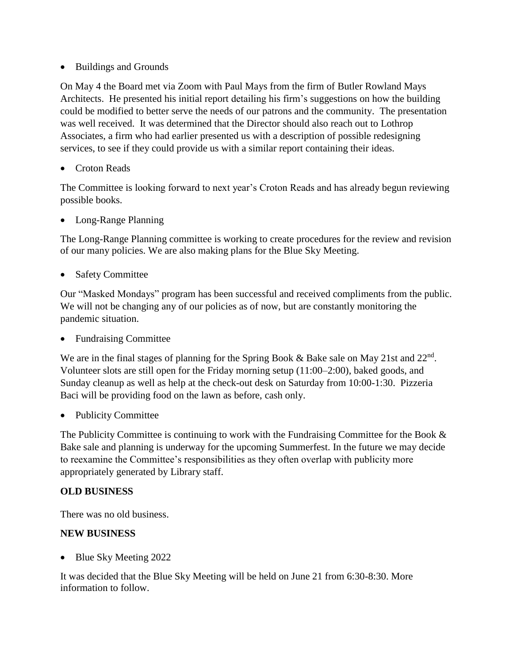• Buildings and Grounds

On May 4 the Board met via Zoom with Paul Mays from the firm of Butler Rowland Mays Architects. He presented his initial report detailing his firm's suggestions on how the building could be modified to better serve the needs of our patrons and the community. The presentation was well received. It was determined that the Director should also reach out to Lothrop Associates, a firm who had earlier presented us with a description of possible redesigning services, to see if they could provide us with a similar report containing their ideas.

Croton Reads

The Committee is looking forward to next year's Croton Reads and has already begun reviewing possible books.

Long-Range Planning

The Long-Range Planning committee is working to create procedures for the review and revision of our many policies. We are also making plans for the Blue Sky Meeting.

Safety Committee

Our "Masked Mondays" program has been successful and received compliments from the public. We will not be changing any of our policies as of now, but are constantly monitoring the pandemic situation.

Fundraising Committee

We are in the final stages of planning for the Spring Book & Bake sale on May 21st and 22<sup>nd</sup>. Volunteer slots are still open for the Friday morning setup (11:00–2:00), baked goods, and Sunday cleanup as well as help at the check-out desk on Saturday from 10:00-1:30. Pizzeria Baci will be providing food on the lawn as before, cash only.

Publicity Committee

The Publicity Committee is continuing to work with the Fundraising Committee for the Book  $\&$ Bake sale and planning is underway for the upcoming Summerfest. In the future we may decide to reexamine the Committee's responsibilities as they often overlap with publicity more appropriately generated by Library staff.

## **OLD BUSINESS**

There was no old business.

#### **NEW BUSINESS**

• Blue Sky Meeting 2022

It was decided that the Blue Sky Meeting will be held on June 21 from 6:30-8:30. More information to follow.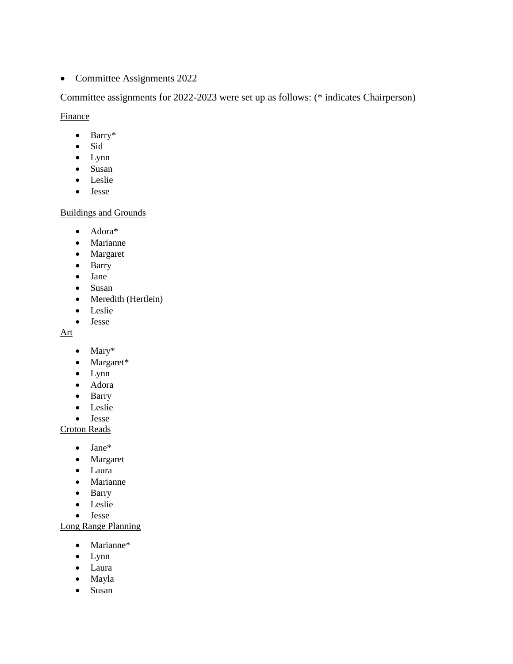• Committee Assignments 2022

Committee assignments for 2022-2023 were set up as follows: (\* indicates Chairperson)

**Finance** 

- Barry\*
- Sid
- Lynn
- Susan
- Leslie
- Jesse

#### Buildings and Grounds

- Adora\*
- Marianne
- Margaret
- Barry
- Jane
- Susan
- Meredith (Hertlein)
- Leslie
- Jesse

Art

- Mary\*
- Margaret\*
- Lynn
- Adora
- Barry
- Leslie
- Jesse

#### Croton Reads

- Jane\*
- Margaret
- Laura
- Marianne
- Barry
- Leslie
- Jesse

Long Range Planning

- Marianne\*
- Lynn
- Laura
- Mayla
- Susan